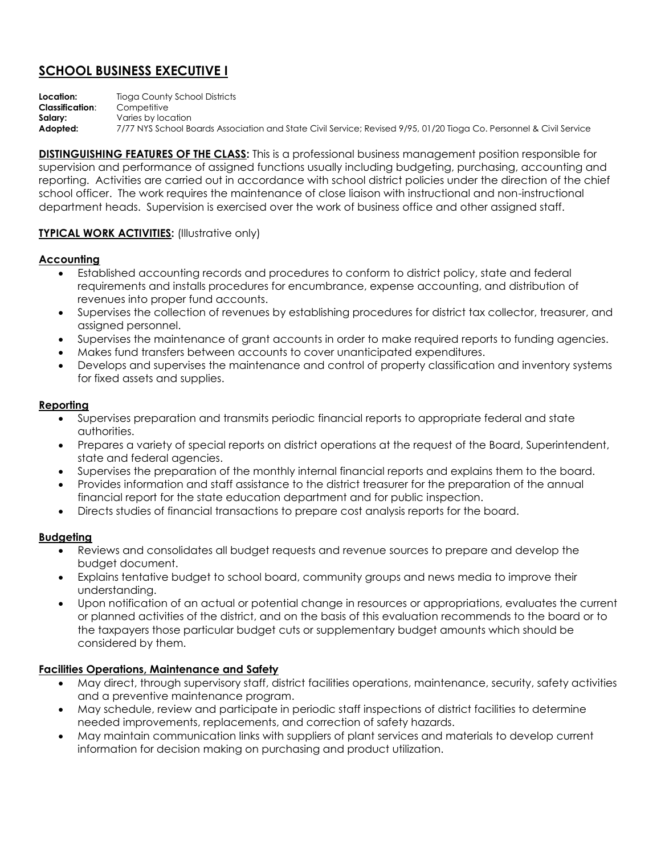# **SCHOOL BUSINESS EXECUTIVE I**

**Location:** Tioga County School Districts **Classification**: Competitive **Salary:** Varies by location **Adopted:** 7/77 NYS School Boards Association and State Civil Service; Revised 9/95, 01/20 Tioga Co. Personnel & Civil Service

**DISTINGUISHING FEATURES OF THE CLASS:** This is a professional business management position responsible for supervision and performance of assigned functions usually including budgeting, purchasing, accounting and reporting. Activities are carried out in accordance with school district policies under the direction of the chief school officer. The work requires the maintenance of close liaison with instructional and non-instructional department heads. Supervision is exercised over the work of business office and other assigned staff.

# **TYPICAL WORK ACTIVITIES:** (Illustrative only)

#### **Accounting**

- Established accounting records and procedures to conform to district policy, state and federal requirements and installs procedures for encumbrance, expense accounting, and distribution of revenues into proper fund accounts.
- Supervises the collection of revenues by establishing procedures for district tax collector, treasurer, and assigned personnel.
- Supervises the maintenance of grant accounts in order to make required reports to funding agencies.
- Makes fund transfers between accounts to cover unanticipated expenditures.
- Develops and supervises the maintenance and control of property classification and inventory systems for fixed assets and supplies.

#### **Reporting**

- Supervises preparation and transmits periodic financial reports to appropriate federal and state authorities.
- Prepares a variety of special reports on district operations at the request of the Board, Superintendent, state and federal agencies.
- Supervises the preparation of the monthly internal financial reports and explains them to the board.
- Provides information and staff assistance to the district treasurer for the preparation of the annual financial report for the state education department and for public inspection.
- Directs studies of financial transactions to prepare cost analysis reports for the board.

#### **Budgeting**

- Reviews and consolidates all budget requests and revenue sources to prepare and develop the budget document.
- Explains tentative budget to school board, community groups and news media to improve their understanding.
- Upon notification of an actual or potential change in resources or appropriations, evaluates the current or planned activities of the district, and on the basis of this evaluation recommends to the board or to the taxpayers those particular budget cuts or supplementary budget amounts which should be considered by them.

#### **Facilities Operations, Maintenance and Safety**

- May direct, through supervisory staff, district facilities operations, maintenance, security, safety activities and a preventive maintenance program.
- May schedule, review and participate in periodic staff inspections of district facilities to determine needed improvements, replacements, and correction of safety hazards.
- May maintain communication links with suppliers of plant services and materials to develop current information for decision making on purchasing and product utilization.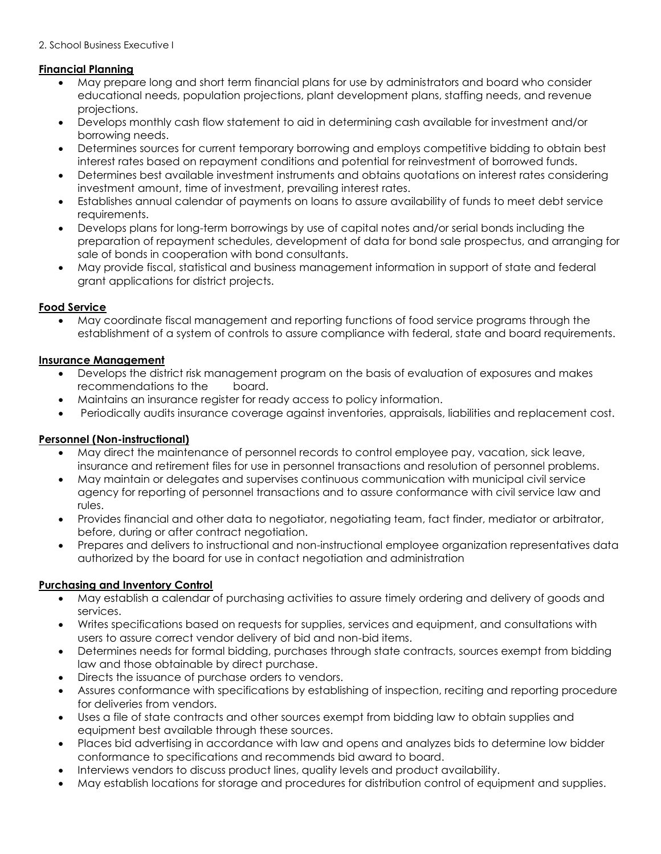#### 2. School Business Executive I

#### **Financial Planning**

- May prepare long and short term financial plans for use by administrators and board who consider educational needs, population projections, plant development plans, staffing needs, and revenue projections.
- Develops monthly cash flow statement to aid in determining cash available for investment and/or borrowing needs.
- Determines sources for current temporary borrowing and employs competitive bidding to obtain best interest rates based on repayment conditions and potential for reinvestment of borrowed funds.
- Determines best available investment instruments and obtains quotations on interest rates considering investment amount, time of investment, prevailing interest rates.
- Establishes annual calendar of payments on loans to assure availability of funds to meet debt service requirements.
- Develops plans for long-term borrowings by use of capital notes and/or serial bonds including the preparation of repayment schedules, development of data for bond sale prospectus, and arranging for sale of bonds in cooperation with bond consultants.
- May provide fiscal, statistical and business management information in support of state and federal grant applications for district projects.

# **Food Service**

 May coordinate fiscal management and reporting functions of food service programs through the establishment of a system of controls to assure compliance with federal, state and board requirements.

# **Insurance Management**

- Develops the district risk management program on the basis of evaluation of exposures and makes recommendations to the board.
- Maintains an insurance register for ready access to policy information.
- Periodically audits insurance coverage against inventories, appraisals, liabilities and replacement cost.

#### **Personnel (Non-instructional)**

- May direct the maintenance of personnel records to control employee pay, vacation, sick leave, insurance and retirement files for use in personnel transactions and resolution of personnel problems.
- May maintain or delegates and supervises continuous communication with municipal civil service agency for reporting of personnel transactions and to assure conformance with civil service law and rules.
- Provides financial and other data to negotiator, negotiating team, fact finder, mediator or arbitrator, before, during or after contract negotiation.
- Prepares and delivers to instructional and non-instructional employee organization representatives data authorized by the board for use in contact negotiation and administration

#### **Purchasing and Inventory Control**

- May establish a calendar of purchasing activities to assure timely ordering and delivery of goods and services.
- Writes specifications based on requests for supplies, services and equipment, and consultations with users to assure correct vendor delivery of bid and non-bid items.
- Determines needs for formal bidding, purchases through state contracts, sources exempt from bidding law and those obtainable by direct purchase.
- Directs the issuance of purchase orders to vendors.
- Assures conformance with specifications by establishing of inspection, reciting and reporting procedure for deliveries from vendors.
- Uses a file of state contracts and other sources exempt from bidding law to obtain supplies and equipment best available through these sources.
- Places bid advertising in accordance with law and opens and analyzes bids to determine low bidder conformance to specifications and recommends bid award to board.
- Interviews vendors to discuss product lines, quality levels and product availability.
- May establish locations for storage and procedures for distribution control of equipment and supplies.